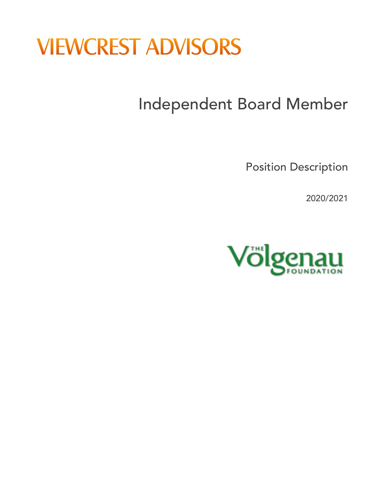## Independent Board Member

Position Description

2020/2021

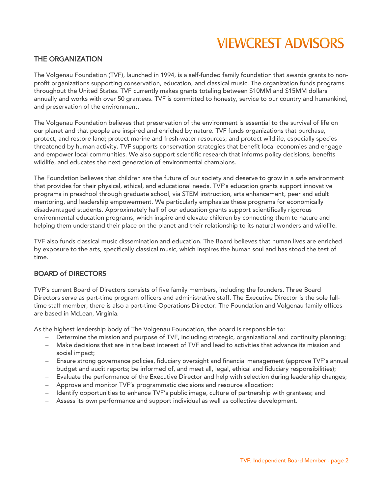#### THE ORGANIZATION

The Volgenau Foundation (TVF), launched in 1994, is a self-funded family foundation that awards grants to nonprofit organizations supporting conservation, education, and classical music. The organization funds programs throughout the United States. TVF currently makes grants totaling between \$10MM and \$15MM dollars annually and works with over 50 grantees. TVF is committed to honesty, service to our country and humankind, and preservation of the environment.

The Volgenau Foundation believes that preservation of the environment is essential to the survival of life on our planet and that people are inspired and enriched by nature. TVF funds organizations that purchase, protect, and restore land; protect marine and fresh-water resources; and protect wildlife, especially species threatened by human activity. TVF supports conservation strategies that benefit local economies and engage and empower local communities. We also support scientific research that informs policy decisions, benefits wildlife, and educates the next generation of environmental champions.

The Foundation believes that children are the future of our society and deserve to grow in a safe environment that provides for their physical, ethical, and educational needs. TVF's education grants support innovative programs in preschool through graduate school, via STEM instruction, arts enhancement, peer and adult mentoring, and leadership empowerment. We particularly emphasize these programs for economically disadvantaged students. Approximately half of our education grants support scientifically rigorous environmental education programs, which inspire and elevate children by connecting them to nature and helping them understand their place on the planet and their relationship to its natural wonders and wildlife.

TVF also funds classical music dissemination and education. The Board believes that human lives are enriched by exposure to the arts, specifically classical music, which inspires the human soul and has stood the test of time.

#### BOARD of DIRECTORS

TVF's current Board of Directors consists of five family members, including the founders. Three Board Directors serve as part-time program officers and administrative staff. The Executive Director is the sole fulltime staff member; there is also a part-time Operations Director. The Foundation and Volgenau family offices are based in McLean, Virginia.

As the highest leadership body of The Volgenau Foundation, the board is responsible to:

- Determine the mission and purpose of TVF, including strategic, organizational and continuity planning;
- Make decisions that are in the best interest of TVF and lead to activities that advance its mission and social impact;
- Ensure strong governance policies, fiduciary oversight and financial management (approve TVF's annual budget and audit reports; be informed of, and meet all, legal, ethical and fiduciary responsibilities);
- Evaluate the performance of the Executive Director and help with selection during leadership changes;
- Approve and monitor TVF's programmatic decisions and resource allocation;
- Identify opportunities to enhance TVF's public image, culture of partnership with grantees; and
- Assess its own performance and support individual as well as collective development.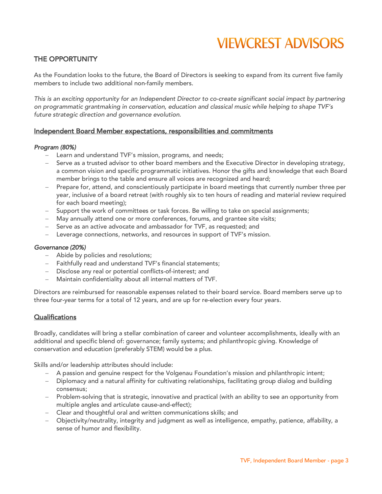#### THE OPPORTUNITY

As the Foundation looks to the future, the Board of Directors is seeking to expand from its current five family members to include two additional non-family members.

*This is an exciting opportunity for an Independent Director to co-create significant social impact by partnering on programmatic grantmaking in conservation, education and classical music while helping to shape TVF's future strategic direction and governance evolution.*

#### Independent Board Member expectations, responsibilities and commitments

#### *Program (80%)*

- Learn and understand TVF's mission, programs, and needs;
- Serve as a trusted advisor to other board members and the Executive Director in developing strategy, a common vision and specific programmatic initiatives. Honor the gifts and knowledge that each Board member brings to the table and ensure all voices are recognized and heard;
- Prepare for, attend, and conscientiously participate in board meetings that currently number three per year, inclusive of a board retreat (with roughly six to ten hours of reading and material review required for each board meeting);
- Support the work of committees or task forces. Be willing to take on special assignments;
- May annually attend one or more conferences, forums, and grantee site visits;
- Serve as an active advocate and ambassador for TVF, as requested; and
- Leverage connections, networks, and resources in support of TVF's mission.

#### *Governance (20%)*

- Abide by policies and resolutions;
- Faithfully read and understand TVF's financial statements;
- Disclose any real or potential conflicts-of-interest; and
- Maintain confidentiality about all internal matters of TVF.

Directors are reimbursed for reasonable expenses related to their board service. Board members serve up to three four-year terms for a total of 12 years, and are up for re-election every four years.

#### **Qualifications**

Broadly, candidates will bring a stellar combination of career and volunteer accomplishments, ideally with an additional and specific blend of: governance; family systems; and philanthropic giving. Knowledge of conservation and education (preferably STEM) would be a plus.

Skills and/or leadership attributes should include:

- A passion and genuine respect for the Volgenau Foundation's mission and philanthropic intent;
- Diplomacy and a natural affinity for cultivating relationships, facilitating group dialog and building consensus;
- Problem-solving that is strategic, innovative and practical (with an ability to see an opportunity from multiple angles and articulate cause-and-effect);
- Clear and thoughtful oral and written communications skills; and
- Objectivity/neutrality, integrity and judgment as well as intelligence, empathy, patience, affability, a sense of humor and flexibility.